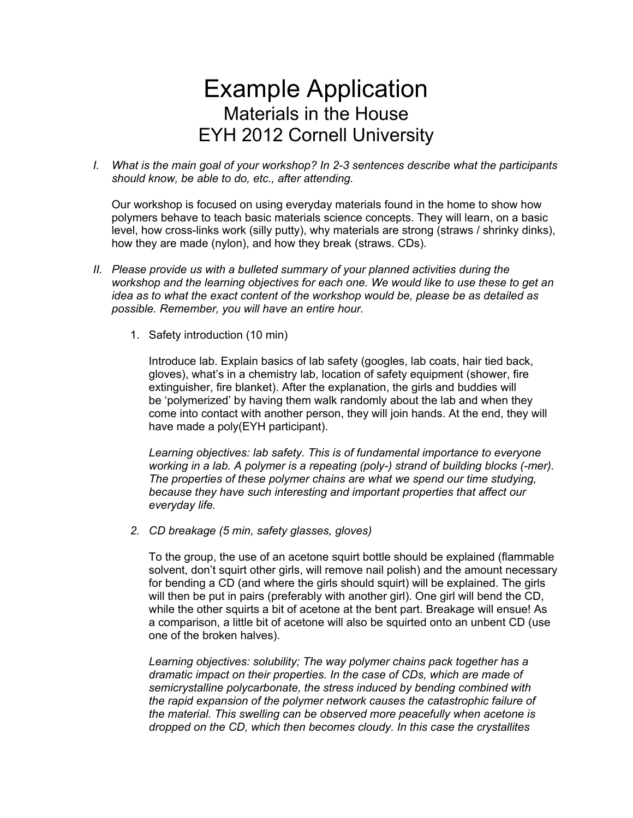## Example Application Materials in the House EYH 2012 Cornell University

*I. What is the main goal of your workshop? In 2-3 sentences describe what the participants should know, be able to do, etc., after attending.*

Our workshop is focused on using everyday materials found in the home to show how polymers behave to teach basic materials science concepts. They will learn, on a basic level, how cross-links work (silly putty), why materials are strong (straws / shrinky dinks), how they are made (nylon), and how they break (straws. CDs).

- *II. Please provide us with a bulleted summary of your planned activities during the workshop and the learning objectives for each one. We would like to use these to get an idea as to what the exact content of the workshop would be, please be as detailed as possible. Remember, you will have an entire hour.*
	- 1. Safety introduction (10 min)

Introduce lab. Explain basics of lab safety (googles, lab coats, hair tied back, gloves), what's in a chemistry lab, location of safety equipment (shower, fire extinguisher, fire blanket). After the explanation, the girls and buddies will be 'polymerized' by having them walk randomly about the lab and when they come into contact with another person, they will join hands. At the end, they will have made a poly(EYH participant).

*Learning objectives: lab safety. This is of fundamental importance to everyone working in a lab. A polymer is a repeating (poly-) strand of building blocks (-mer). The properties of these polymer chains are what we spend our time studying, because they have such interesting and important properties that affect our everyday life.*

*2. CD breakage (5 min, safety glasses, gloves)* 

To the group, the use of an acetone squirt bottle should be explained (flammable solvent, don't squirt other girls, will remove nail polish) and the amount necessary for bending a CD (and where the girls should squirt) will be explained. The girls will then be put in pairs (preferably with another girl). One girl will bend the CD, while the other squirts a bit of acetone at the bent part. Breakage will ensue! As a comparison, a little bit of acetone will also be squirted onto an unbent CD (use one of the broken halves).

*Learning objectives: solubility; The way polymer chains pack together has a dramatic impact on their properties. In the case of CDs, which are made of semicrystalline polycarbonate, the stress induced by bending combined with the rapid expansion of the polymer network causes the catastrophic failure of the material. This swelling can be observed more peacefully when acetone is dropped on the CD, which then becomes cloudy. In this case the crystallites*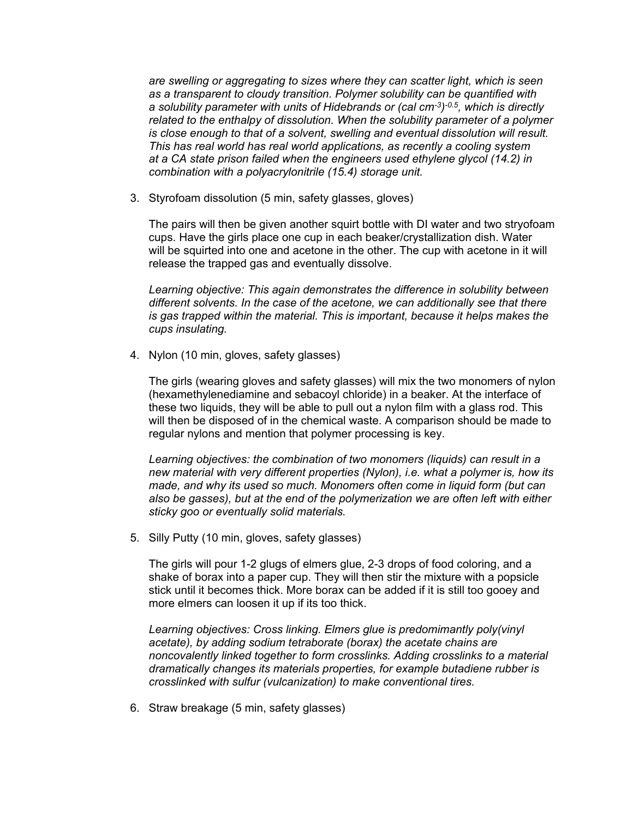*are swelling or aggregating to sizes where they can scatter light, which is seen as a transparent to cloudy transition. Polymer solubility can be quantified with a solubility parameter with units of Hidebrands or (cal cm-3) -0.5, which is directly related to the enthalpy of dissolution. When the solubility parameter of a polymer is close enough to that of a solvent, swelling and eventual dissolution will result. This has real world has real world applications, as recently a cooling system at a CA state prison failed when the engineers used ethylene glycol (14.2) in combination with a polyacrylonitrile (15.4) storage unit.*

3. Styrofoam dissolution (5 min, safety glasses, gloves)

The pairs will then be given another squirt bottle with DI water and two stryofoam cups. Have the girls place one cup in each beaker/crystallization dish. Water will be squirted into one and acetone in the other. The cup with acetone in it will release the trapped gas and eventually dissolve.

*Learning objective: This again demonstrates the difference in solubility between different solvents. In the case of the acetone, we can additionally see that there is gas trapped within the material. This is important, because it helps makes the cups insulating.*

4. Nylon (10 min, gloves, safety glasses)

The girls (wearing gloves and safety glasses) will mix the two monomers of nylon (hexamethylenediamine and sebacoyl chloride) in a beaker. At the interface of these two liquids, they will be able to pull out a nylon film with a glass rod. This will then be disposed of in the chemical waste. A comparison should be made to regular nylons and mention that polymer processing is key.

*Learning objectives: the combination of two monomers (liquids) can result in a new material with very different properties (Nylon), i.e. what a polymer is, how its made, and why its used so much. Monomers often come in liquid form (but can also be gasses), but at the end of the polymerization we are often left with either sticky goo or eventually solid materials.*

5. Silly Putty (10 min, gloves, safety glasses)

The girls will pour 1-2 glugs of elmers glue, 2-3 drops of food coloring, and a shake of borax into a paper cup. They will then stir the mixture with a popsicle stick until it becomes thick. More borax can be added if it is still too gooey and more elmers can loosen it up if its too thick.

*Learning objectives: Cross linking. Elmers glue is predomimantly poly(vinyl acetate), by adding sodium tetraborate (borax) the acetate chains are noncovalently linked together to form crosslinks. Adding crosslinks to a material dramatically changes its materials properties, for example butadiene rubber is crosslinked with sulfur (vulcanization) to make conventional tires.*

6. Straw breakage (5 min, safety glasses)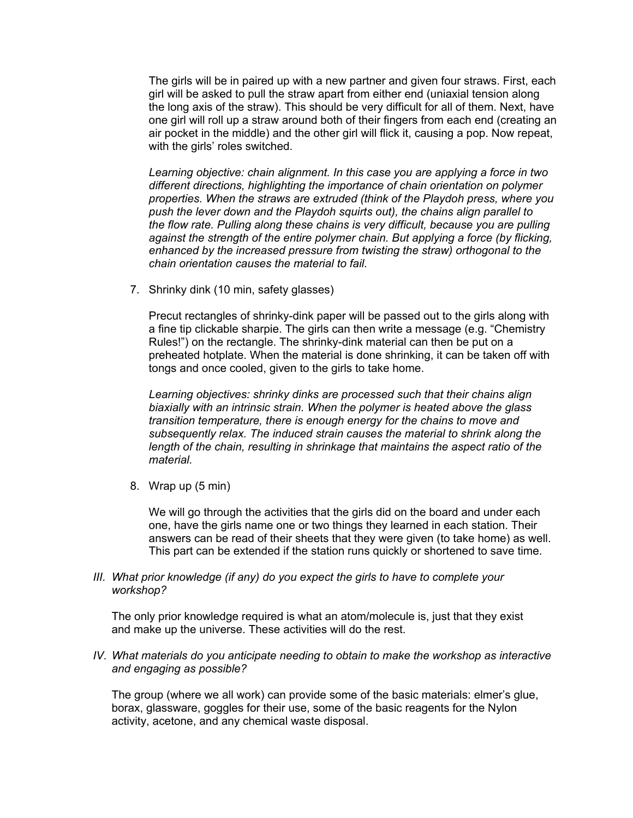The girls will be in paired up with a new partner and given four straws. First, each girl will be asked to pull the straw apart from either end (uniaxial tension along the long axis of the straw). This should be very difficult for all of them. Next, have one girl will roll up a straw around both of their fingers from each end (creating an air pocket in the middle) and the other girl will flick it, causing a pop. Now repeat, with the girls' roles switched.

*Learning objective: chain alignment. In this case you are applying a force in two different directions, highlighting the importance of chain orientation on polymer properties. When the straws are extruded (think of the Playdoh press, where you push the lever down and the Playdoh squirts out), the chains align parallel to the flow rate. Pulling along these chains is very difficult, because you are pulling against the strength of the entire polymer chain. But applying a force (by flicking, enhanced by the increased pressure from twisting the straw) orthogonal to the chain orientation causes the material to fail.*

7. Shrinky dink (10 min, safety glasses)

Precut rectangles of shrinky-dink paper will be passed out to the girls along with a fine tip clickable sharpie. The girls can then write a message (e.g. "Chemistry Rules!") on the rectangle. The shrinky-dink material can then be put on a preheated hotplate. When the material is done shrinking, it can be taken off with tongs and once cooled, given to the girls to take home.

*Learning objectives: shrinky dinks are processed such that their chains align biaxially with an intrinsic strain. When the polymer is heated above the glass transition temperature, there is enough energy for the chains to move and subsequently relax. The induced strain causes the material to shrink along the length of the chain, resulting in shrinkage that maintains the aspect ratio of the material.*

8. Wrap up (5 min)

We will go through the activities that the girls did on the board and under each one, have the girls name one or two things they learned in each station. Their answers can be read of their sheets that they were given (to take home) as well. This part can be extended if the station runs quickly or shortened to save time.

*III. What prior knowledge (if any) do you expect the girls to have to complete your workshop?*

The only prior knowledge required is what an atom/molecule is, just that they exist and make up the universe. These activities will do the rest.

*IV. What materials do you anticipate needing to obtain to make the workshop as interactive and engaging as possible?*

The group (where we all work) can provide some of the basic materials: elmer's glue, borax, glassware, goggles for their use, some of the basic reagents for the Nylon activity, acetone, and any chemical waste disposal.